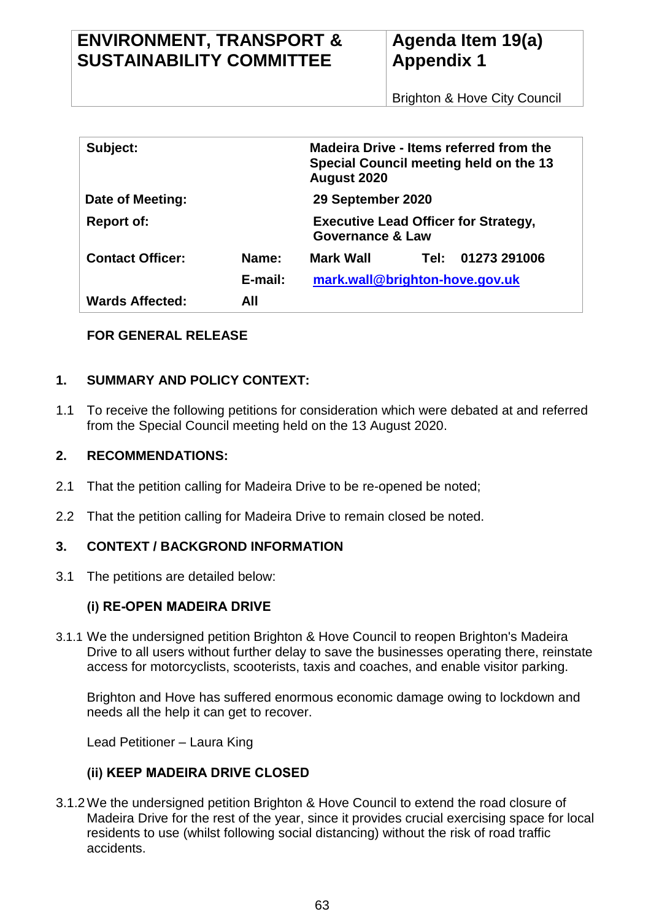| Subject:                |         | <b>Madeira Drive - Items referred from the</b><br>Special Council meeting held on the 13<br>August 2020 |      |              |
|-------------------------|---------|---------------------------------------------------------------------------------------------------------|------|--------------|
| Date of Meeting:        |         | 29 September 2020                                                                                       |      |              |
| <b>Report of:</b>       |         | <b>Executive Lead Officer for Strategy,</b><br><b>Governance &amp; Law</b>                              |      |              |
| <b>Contact Officer:</b> | Name:   | Mark Wall                                                                                               | Tel: | 01273 291006 |
|                         | E-mail: | mark.wall@brighton-hove.gov.uk                                                                          |      |              |
| <b>Wards Affected:</b>  | AII     |                                                                                                         |      |              |

# **FOR GENERAL RELEASE**

# **1. SUMMARY AND POLICY CONTEXT:**

1.1 To receive the following petitions for consideration which were debated at and referred from the Special Council meeting held on the 13 August 2020.

### **2. RECOMMENDATIONS:**

- 2.1 That the petition calling for Madeira Drive to be re-opened be noted;
- 2.2 That the petition calling for Madeira Drive to remain closed be noted.

## **3. CONTEXT / BACKGROND INFORMATION**

3.1 The petitions are detailed below:

## **(i) RE-OPEN MADEIRA DRIVE**

3.1.1 We the undersigned petition Brighton & Hove Council to reopen Brighton's Madeira Drive to all users without further delay to save the businesses operating there, reinstate access for motorcyclists, scooterists, taxis and coaches, and enable visitor parking.

Brighton and Hove has suffered enormous economic damage owing to lockdown and needs all the help it can get to recover.

Lead Petitioner – Laura King

## **(ii) KEEP MADEIRA DRIVE CLOSED**

3.1.2We the undersigned petition Brighton & Hove Council to extend the road closure of Madeira Drive for the rest of the year, since it provides crucial exercising space for local residents to use (whilst following social distancing) without the risk of road traffic accidents.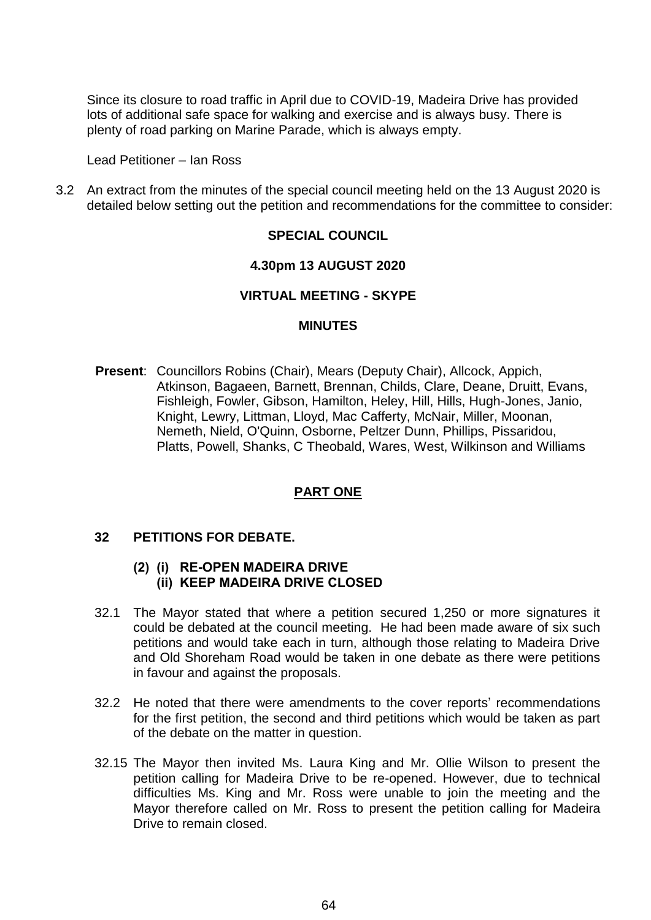Since its closure to road traffic in April due to COVID-19, Madeira Drive has provided lots of additional safe space for walking and exercise and is always busy. There is plenty of road parking on Marine Parade, which is always empty.

Lead Petitioner – Ian Ross

3.2 An extract from the minutes of the special council meeting held on the 13 August 2020 is detailed below setting out the petition and recommendations for the committee to consider:

### **SPECIAL COUNCIL**

#### **4.30pm 13 AUGUST 2020**

#### **VIRTUAL MEETING - SKYPE**

#### **MINUTES**

**Present**: Councillors Robins (Chair), Mears (Deputy Chair), Allcock, Appich, Atkinson, Bagaeen, Barnett, Brennan, Childs, Clare, Deane, Druitt, Evans, Fishleigh, Fowler, Gibson, Hamilton, Heley, Hill, Hills, Hugh-Jones, Janio, Knight, Lewry, Littman, Lloyd, Mac Cafferty, McNair, Miller, Moonan, Nemeth, Nield, O'Quinn, Osborne, Peltzer Dunn, Phillips, Pissaridou, Platts, Powell, Shanks, C Theobald, Wares, West, Wilkinson and Williams

### **PART ONE**

#### **32 PETITIONS FOR DEBATE.**

#### **(2) (i) RE-OPEN MADEIRA DRIVE (ii) KEEP MADEIRA DRIVE CLOSED**

- 32.1 The Mayor stated that where a petition secured 1,250 or more signatures it could be debated at the council meeting. He had been made aware of six such petitions and would take each in turn, although those relating to Madeira Drive and Old Shoreham Road would be taken in one debate as there were petitions in favour and against the proposals.
- 32.2 He noted that there were amendments to the cover reports' recommendations for the first petition, the second and third petitions which would be taken as part of the debate on the matter in question.
- 32.15 The Mayor then invited Ms. Laura King and Mr. Ollie Wilson to present the petition calling for Madeira Drive to be re-opened. However, due to technical difficulties Ms. King and Mr. Ross were unable to join the meeting and the Mayor therefore called on Mr. Ross to present the petition calling for Madeira Drive to remain closed.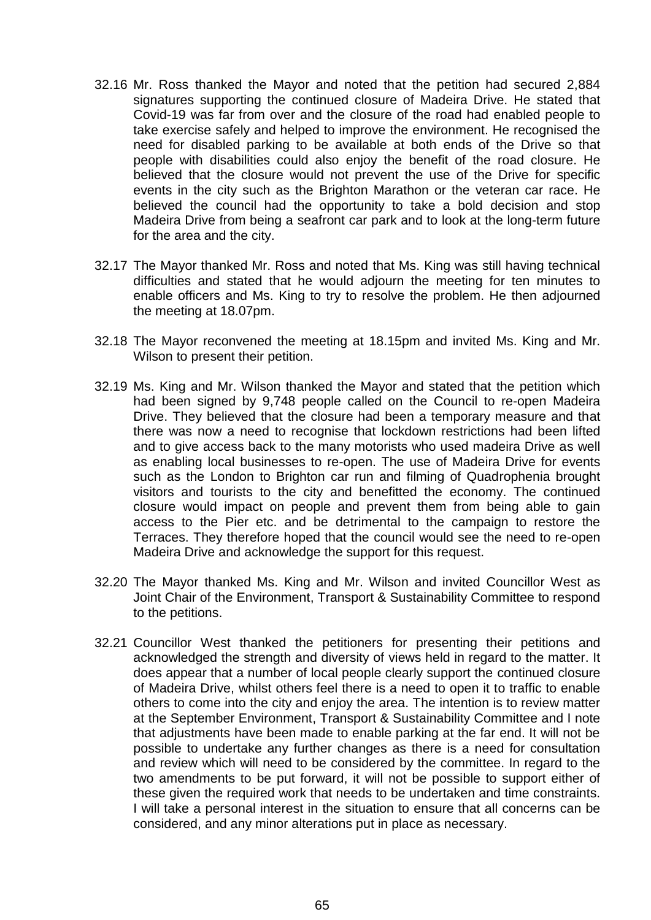- 32.16 Mr. Ross thanked the Mayor and noted that the petition had secured 2,884 signatures supporting the continued closure of Madeira Drive. He stated that Covid-19 was far from over and the closure of the road had enabled people to take exercise safely and helped to improve the environment. He recognised the need for disabled parking to be available at both ends of the Drive so that people with disabilities could also enjoy the benefit of the road closure. He believed that the closure would not prevent the use of the Drive for specific events in the city such as the Brighton Marathon or the veteran car race. He believed the council had the opportunity to take a bold decision and stop Madeira Drive from being a seafront car park and to look at the long-term future for the area and the city.
- 32.17 The Mayor thanked Mr. Ross and noted that Ms. King was still having technical difficulties and stated that he would adjourn the meeting for ten minutes to enable officers and Ms. King to try to resolve the problem. He then adjourned the meeting at 18.07pm.
- 32.18 The Mayor reconvened the meeting at 18.15pm and invited Ms. King and Mr. Wilson to present their petition.
- 32.19 Ms. King and Mr. Wilson thanked the Mayor and stated that the petition which had been signed by 9,748 people called on the Council to re-open Madeira Drive. They believed that the closure had been a temporary measure and that there was now a need to recognise that lockdown restrictions had been lifted and to give access back to the many motorists who used madeira Drive as well as enabling local businesses to re-open. The use of Madeira Drive for events such as the London to Brighton car run and filming of Quadrophenia brought visitors and tourists to the city and benefitted the economy. The continued closure would impact on people and prevent them from being able to gain access to the Pier etc. and be detrimental to the campaign to restore the Terraces. They therefore hoped that the council would see the need to re-open Madeira Drive and acknowledge the support for this request.
- 32.20 The Mayor thanked Ms. King and Mr. Wilson and invited Councillor West as Joint Chair of the Environment, Transport & Sustainability Committee to respond to the petitions.
- 32.21 Councillor West thanked the petitioners for presenting their petitions and acknowledged the strength and diversity of views held in regard to the matter. It does appear that a number of local people clearly support the continued closure of Madeira Drive, whilst others feel there is a need to open it to traffic to enable others to come into the city and enjoy the area. The intention is to review matter at the September Environment, Transport & Sustainability Committee and I note that adjustments have been made to enable parking at the far end. It will not be possible to undertake any further changes as there is a need for consultation and review which will need to be considered by the committee. In regard to the two amendments to be put forward, it will not be possible to support either of these given the required work that needs to be undertaken and time constraints. I will take a personal interest in the situation to ensure that all concerns can be considered, and any minor alterations put in place as necessary.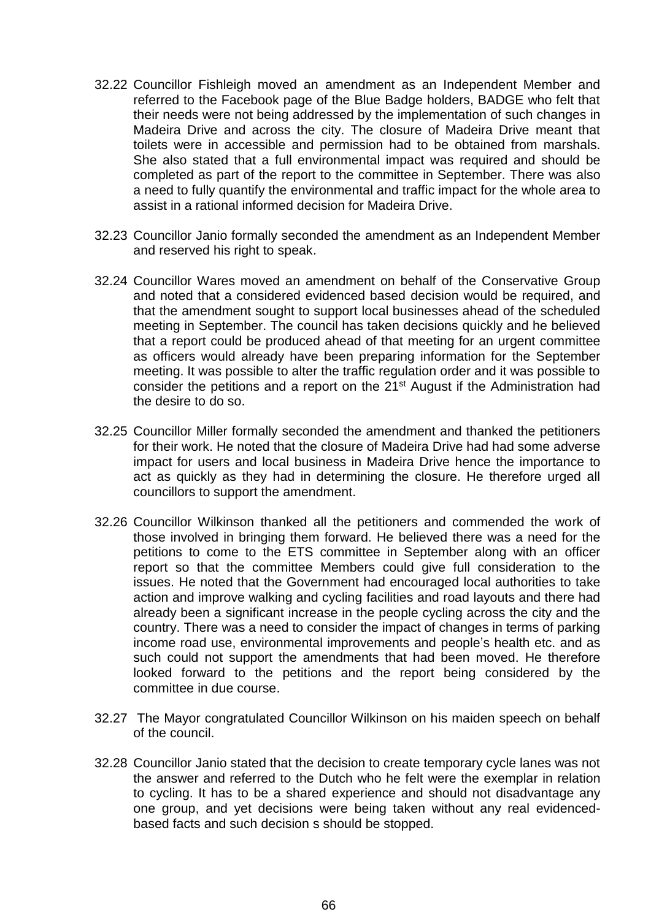- 32.22 Councillor Fishleigh moved an amendment as an Independent Member and referred to the Facebook page of the Blue Badge holders, BADGE who felt that their needs were not being addressed by the implementation of such changes in Madeira Drive and across the city. The closure of Madeira Drive meant that toilets were in accessible and permission had to be obtained from marshals. She also stated that a full environmental impact was required and should be completed as part of the report to the committee in September. There was also a need to fully quantify the environmental and traffic impact for the whole area to assist in a rational informed decision for Madeira Drive.
- 32.23 Councillor Janio formally seconded the amendment as an Independent Member and reserved his right to speak.
- 32.24 Councillor Wares moved an amendment on behalf of the Conservative Group and noted that a considered evidenced based decision would be required, and that the amendment sought to support local businesses ahead of the scheduled meeting in September. The council has taken decisions quickly and he believed that a report could be produced ahead of that meeting for an urgent committee as officers would already have been preparing information for the September meeting. It was possible to alter the traffic regulation order and it was possible to consider the petitions and a report on the 21<sup>st</sup> August if the Administration had the desire to do so.
- 32.25 Councillor Miller formally seconded the amendment and thanked the petitioners for their work. He noted that the closure of Madeira Drive had had some adverse impact for users and local business in Madeira Drive hence the importance to act as quickly as they had in determining the closure. He therefore urged all councillors to support the amendment.
- 32.26 Councillor Wilkinson thanked all the petitioners and commended the work of those involved in bringing them forward. He believed there was a need for the petitions to come to the ETS committee in September along with an officer report so that the committee Members could give full consideration to the issues. He noted that the Government had encouraged local authorities to take action and improve walking and cycling facilities and road layouts and there had already been a significant increase in the people cycling across the city and the country. There was a need to consider the impact of changes in terms of parking income road use, environmental improvements and people's health etc. and as such could not support the amendments that had been moved. He therefore looked forward to the petitions and the report being considered by the committee in due course.
- 32.27 The Mayor congratulated Councillor Wilkinson on his maiden speech on behalf of the council.
- 32.28 Councillor Janio stated that the decision to create temporary cycle lanes was not the answer and referred to the Dutch who he felt were the exemplar in relation to cycling. It has to be a shared experience and should not disadvantage any one group, and yet decisions were being taken without any real evidencedbased facts and such decision s should be stopped.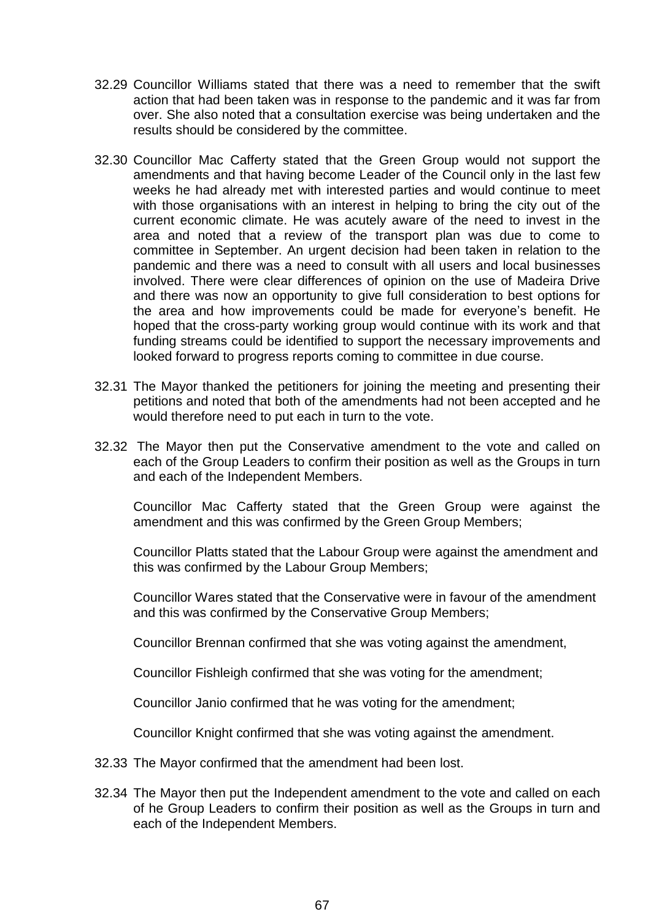- 32.29 Councillor Williams stated that there was a need to remember that the swift action that had been taken was in response to the pandemic and it was far from over. She also noted that a consultation exercise was being undertaken and the results should be considered by the committee.
- 32.30 Councillor Mac Cafferty stated that the Green Group would not support the amendments and that having become Leader of the Council only in the last few weeks he had already met with interested parties and would continue to meet with those organisations with an interest in helping to bring the city out of the current economic climate. He was acutely aware of the need to invest in the area and noted that a review of the transport plan was due to come to committee in September. An urgent decision had been taken in relation to the pandemic and there was a need to consult with all users and local businesses involved. There were clear differences of opinion on the use of Madeira Drive and there was now an opportunity to give full consideration to best options for the area and how improvements could be made for everyone's benefit. He hoped that the cross-party working group would continue with its work and that funding streams could be identified to support the necessary improvements and looked forward to progress reports coming to committee in due course.
- 32.31 The Mayor thanked the petitioners for joining the meeting and presenting their petitions and noted that both of the amendments had not been accepted and he would therefore need to put each in turn to the vote.
- 32.32 The Mayor then put the Conservative amendment to the vote and called on each of the Group Leaders to confirm their position as well as the Groups in turn and each of the Independent Members.

Councillor Mac Cafferty stated that the Green Group were against the amendment and this was confirmed by the Green Group Members;

Councillor Platts stated that the Labour Group were against the amendment and this was confirmed by the Labour Group Members;

Councillor Wares stated that the Conservative were in favour of the amendment and this was confirmed by the Conservative Group Members;

Councillor Brennan confirmed that she was voting against the amendment,

Councillor Fishleigh confirmed that she was voting for the amendment;

Councillor Janio confirmed that he was voting for the amendment;

Councillor Knight confirmed that she was voting against the amendment.

- 32.33 The Mayor confirmed that the amendment had been lost.
- 32.34 The Mayor then put the Independent amendment to the vote and called on each of he Group Leaders to confirm their position as well as the Groups in turn and each of the Independent Members.